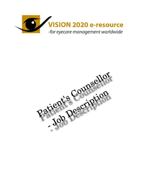

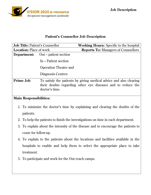

## **Patient's Counsellor Job Description**

| <b>Job Title: Patient's Counsellor</b> |                              | <b>Working Hours:</b> Specific to the hospital                                                                                    |
|----------------------------------------|------------------------------|-----------------------------------------------------------------------------------------------------------------------------------|
| <b>Location:</b> Place of work         |                              | <b>Reports To: Managers of Counsellors</b>                                                                                        |
| Department:                            | Out – patient section        |                                                                                                                                   |
|                                        | In – Patient section         |                                                                                                                                   |
|                                        | <b>Operation Theatre and</b> |                                                                                                                                   |
|                                        | Diagnosis Centres            |                                                                                                                                   |
| <b>Prime Job</b>                       | doctor's time.               | To satisfy the patients by giving medical advice and also clearing<br>their doubts regarding other eye diseases and to reduce the |

#### **Main Responsibilities:**

- 1. To minimize the doctor's time by explaining and clearing the doubts of the patients.
- 2. To help the patients to finish the investigations on time in each department.
- 3. To explain about the intensity of the disease and to encourage the patients to come for follow-up.
- 4. To explain to the patients about the locations and facilities available in the hospitals to enable and help them to select the appropriate place to take treatment.
- 5. To participate and work for the Out reach camps.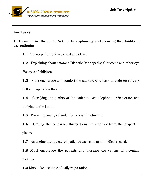**Key Tasks:** 

**1. To minimize the doctor's time by explaining and clearing the doubts of the patients:** 

**1.1** To keep the work area neat and clean.

**1.2** Explaining about cataract, Diabetic Retinopathy, Glaucoma and other eye diseases of children.

**1.3** Must encourage and comfort the patients who have to undergo surgery

in the operation theatre.

**1.4** Clarifying the doubts of the patients over telephone or in person and replying to the letters.

**1.5** Preparing yearly calendar for proper functioning.

**1.6** Getting the necessary things from the store or from the respective places.

**1.7** Arranging the registered patient's case sheets or medical records.

**1.8** Must encourage the patients and increase the census of incoming patients.

**1.9** Must take accounts of daily registrations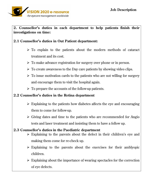

**2. Counsellor's duties in each department to help patients finish their investigations on time:** 

### **2.1 Counsellor's duties in Out Patient department:**

- $\triangleright$  To explain to the patients about the modern methods of cataract treatment and its cost.
- $\triangleright$  To make advance registration for surgery over phone or in person.
- $\triangleright$  To create awareness to the Day care patients by showing video clips.
- $\triangleright$  To issue motivation cards to the patients who are not willing for surgery and encourage them to visit the hospital again.
- $\triangleright$  To prepare the accounts of the follow-up patients.

### **2.2 Counsellor's duties in the Retina department**

- $\triangleright$  Explaining to the patients how diabetes affects the eye and encouraging them to come for follow-up.
- $\triangleright$  Giving dates and time to the patients who are recommended for Angio tests and laser treatment and insisting them to have a follow up.

#### **2.3 Counsellor's duties in the Paediatric department**

- $\triangleright$  Explaining to the parents about the defect in their children's eye and making them come for re-check up.
- $\triangleright$  Explaining to the parents about the exercises for their amblyopic children.
- $\triangleright$  Explaining about the importance of wearing spectacles for the correction of eye defects.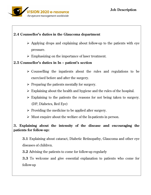# **2.4 Counsellor's duties in the Glaucoma department**

- $\triangleright$  Applying drops and explaining about follow-up to the patients with eye pressure.
- $\triangleright$  Emphasizing on the importance of laser treatment.

## **2.5 Counsellor's duties in In – patient's section**

- $\triangleright$  Counselling the inpatients about the rules and regulations to be exercised before and after the surgery.
- $\triangleright$  Preparing the patients mentally for surgery.
- $\triangleright$  Explaining about the health and hygiene and the rules of the hospital.
- $\triangleright$  Explaining to the patients the reasons for not being taken to surgery. (DP, Diabetes, Red Eye)
- $\triangleright$  Providing the medicine to be applied after surgery.
- $\triangleright$  Must enquire about the welfare of the In-patients in person.

## **3. Explaining about the intensity of the disease and encouraging the patients for follow-up:**

**3.1** Explaining about cataract, Diabetic Retinopathy, Glaucoma and other eye diseases of children.

**3.2** Advising the patients to come for follow-up regularly

**3.3** To welcome and give essential explanation to patients who come for follow-up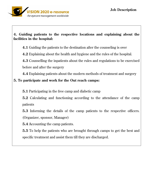

# **4. Guiding patients to the respective locations and explaining about the facilities in the hospital:**

**4.1** Guiding the patients to the destination after the counseling is over

**4.2** Explaining about the health and hygiene and the rules of the hospital.

**4.3** Counselling the inpatients about the rules and regulations to be exercised before and after the surgery

**4.4** Explaining patients about the modern methods of treatment and surgery

### **5. To participate and work for the Out reach camps:**

**5.1** Participating in the free camp and diabetic camp

**5.2** Calculating and functioning according to the attendance of the camp patients

**5.3** Informing the details of the camp patients to the respective officers. (Organizer, sponsor, Manager)

**5.4** Accounting the camp patients.

**5.5** To help the patients who are brought through camps to get the best and specific treatment and assist them till they are discharged.